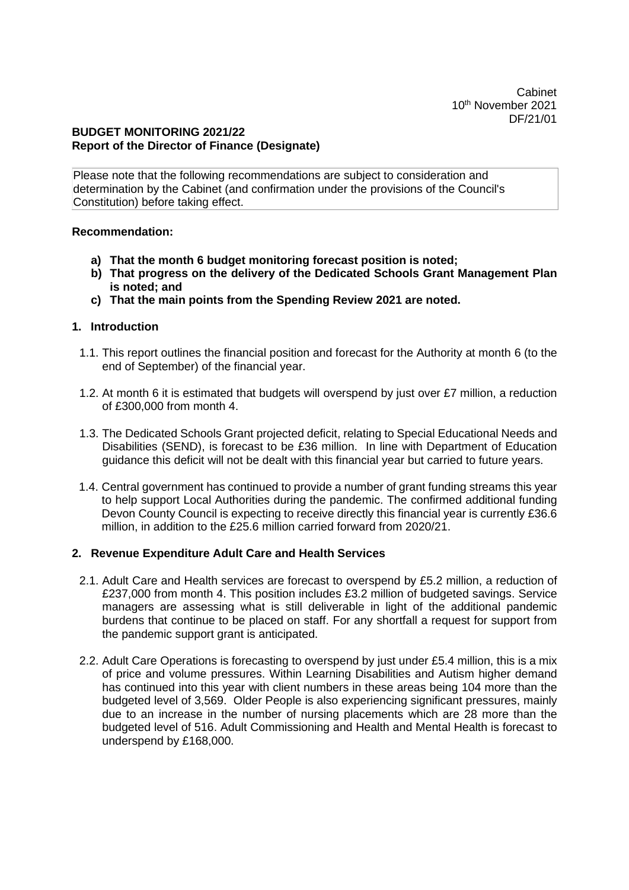Cabinet 10th November 2021 DF/21/01

### **BUDGET MONITORING 2021/22 Report of the Director of Finance (Designate)**

Please note that the following recommendations are subject to consideration and determination by the Cabinet (and confirmation under the provisions of the Council's Constitution) before taking effect.

### **Recommendation:**

- **a) That the month 6 budget monitoring forecast position is noted;**
- **b) That progress on the delivery of the Dedicated Schools Grant Management Plan is noted; and**
- **c) That the main points from the Spending Review 2021 are noted.**

# **1. Introduction**

- 1.1. This report outlines the financial position and forecast for the Authority at month 6 (to the end of September) of the financial year.
- 1.2. At month 6 it is estimated that budgets will overspend by just over £7 million, a reduction of £300,000 from month 4.
- 1.3. The Dedicated Schools Grant projected deficit, relating to Special Educational Needs and Disabilities (SEND), is forecast to be £36 million. In line with Department of Education guidance this deficit will not be dealt with this financial year but carried to future years.
- 1.4. Central government has continued to provide a number of grant funding streams this year to help support Local Authorities during the pandemic. The confirmed additional funding Devon County Council is expecting to receive directly this financial year is currently £36.6 million, in addition to the £25.6 million carried forward from 2020/21.

# **2. Revenue Expenditure Adult Care and Health Services**

- 2.1. Adult Care and Health services are forecast to overspend by £5.2 million, a reduction of £237,000 from month 4. This position includes £3.2 million of budgeted savings. Service managers are assessing what is still deliverable in light of the additional pandemic burdens that continue to be placed on staff. For any shortfall a request for support from the pandemic support grant is anticipated.
- 2.2. Adult Care Operations is forecasting to overspend by just under £5.4 million, this is a mix of price and volume pressures. Within Learning Disabilities and Autism higher demand has continued into this year with client numbers in these areas being 104 more than the budgeted level of 3,569. Older People is also experiencing significant pressures, mainly due to an increase in the number of nursing placements which are 28 more than the budgeted level of 516. Adult Commissioning and Health and Mental Health is forecast to underspend by £168,000.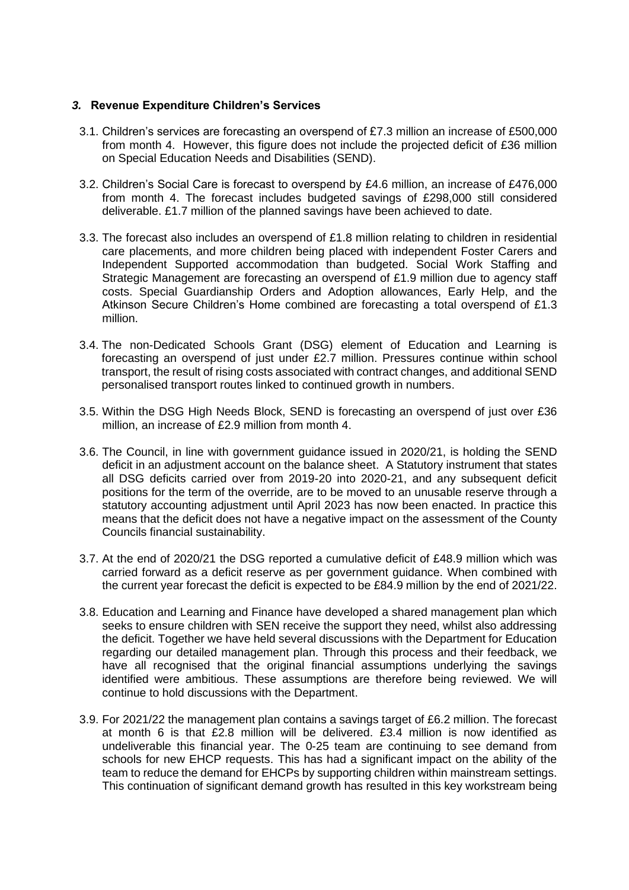# *3.* **Revenue Expenditure Children's Services**

- 3.1. Children's services are forecasting an overspend of £7.3 million an increase of £500,000 from month 4. However, this figure does not include the projected deficit of £36 million on Special Education Needs and Disabilities (SEND).
- 3.2. Children's Social Care is forecast to overspend by £4.6 million, an increase of £476,000 from month 4. The forecast includes budgeted savings of £298,000 still considered deliverable. £1.7 million of the planned savings have been achieved to date.
- 3.3. The forecast also includes an overspend of £1.8 million relating to children in residential care placements, and more children being placed with independent Foster Carers and Independent Supported accommodation than budgeted. Social Work Staffing and Strategic Management are forecasting an overspend of £1.9 million due to agency staff costs. Special Guardianship Orders and Adoption allowances, Early Help, and the Atkinson Secure Children's Home combined are forecasting a total overspend of £1.3 million.
- 3.4. The non-Dedicated Schools Grant (DSG) element of Education and Learning is forecasting an overspend of just under £2.7 million. Pressures continue within school transport, the result of rising costs associated with contract changes, and additional SEND personalised transport routes linked to continued growth in numbers.
- 3.5. Within the DSG High Needs Block, SEND is forecasting an overspend of just over £36 million, an increase of £2.9 million from month 4.
- 3.6. The Council, in line with government guidance issued in 2020/21, is holding the SEND deficit in an adjustment account on the balance sheet. A Statutory instrument that states all DSG deficits carried over from 2019-20 into 2020-21, and any subsequent deficit positions for the term of the override, are to be moved to an unusable reserve through a statutory accounting adjustment until April 2023 has now been enacted. In practice this means that the deficit does not have a negative impact on the assessment of the County Councils financial sustainability.
- 3.7. At the end of 2020/21 the DSG reported a cumulative deficit of £48.9 million which was carried forward as a deficit reserve as per government guidance. When combined with the current year forecast the deficit is expected to be £84.9 million by the end of 2021/22.
- 3.8. Education and Learning and Finance have developed a shared management plan which seeks to ensure children with SEN receive the support they need, whilst also addressing the deficit. Together we have held several discussions with the Department for Education regarding our detailed management plan. Through this process and their feedback, we have all recognised that the original financial assumptions underlying the savings identified were ambitious. These assumptions are therefore being reviewed. We will continue to hold discussions with the Department.
- 3.9. For 2021/22 the management plan contains a savings target of £6.2 million. The forecast at month 6 is that £2.8 million will be delivered. £3.4 million is now identified as undeliverable this financial year. The 0-25 team are continuing to see demand from schools for new EHCP requests. This has had a significant impact on the ability of the team to reduce the demand for EHCPs by supporting children within mainstream settings. This continuation of significant demand growth has resulted in this key workstream being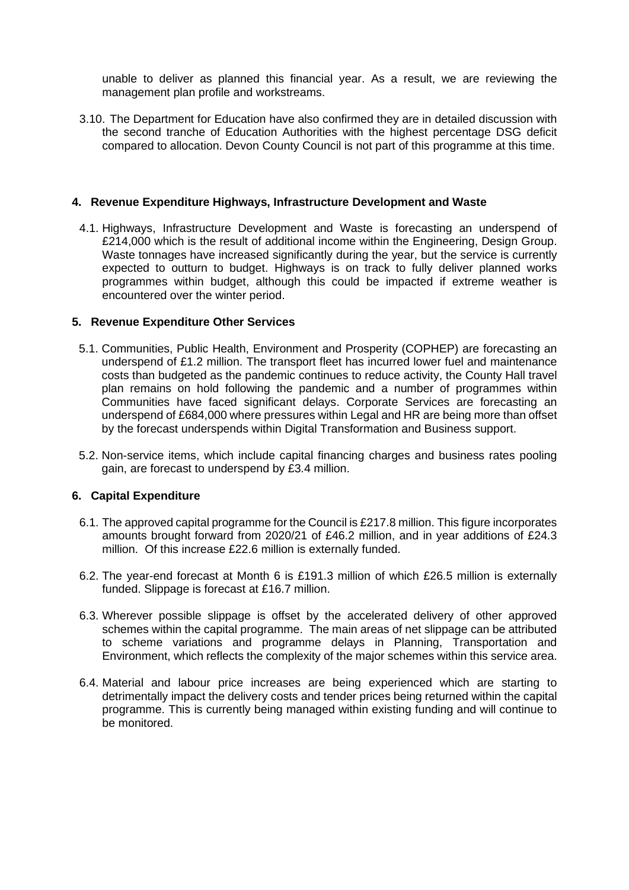unable to deliver as planned this financial year. As a result, we are reviewing the management plan profile and workstreams.

3.10. The Department for Education have also confirmed they are in detailed discussion with the second tranche of Education Authorities with the highest percentage DSG deficit compared to allocation. Devon County Council is not part of this programme at this time.

#### **4. Revenue Expenditure Highways, Infrastructure Development and Waste**

4.1. Highways, Infrastructure Development and Waste is forecasting an underspend of £214,000 which is the result of additional income within the Engineering, Design Group. Waste tonnages have increased significantly during the year, but the service is currently expected to outturn to budget. Highways is on track to fully deliver planned works programmes within budget, although this could be impacted if extreme weather is encountered over the winter period.

### **5. Revenue Expenditure Other Services**

- 5.1. Communities, Public Health, Environment and Prosperity (COPHEP) are forecasting an underspend of £1.2 million. The transport fleet has incurred lower fuel and maintenance costs than budgeted as the pandemic continues to reduce activity, the County Hall travel plan remains on hold following the pandemic and a number of programmes within Communities have faced significant delays. Corporate Services are forecasting an underspend of £684,000 where pressures within Legal and HR are being more than offset by the forecast underspends within Digital Transformation and Business support.
- 5.2. Non-service items, which include capital financing charges and business rates pooling gain, are forecast to underspend by £3.4 million.

# **6. Capital Expenditure**

- 6.1. The approved capital programme for the Council is £217.8 million. This figure incorporates amounts brought forward from 2020/21 of £46.2 million, and in year additions of £24.3 million. Of this increase £22.6 million is externally funded.
- 6.2. The year-end forecast at Month 6 is £191.3 million of which £26.5 million is externally funded. Slippage is forecast at £16.7 million.
- 6.3. Wherever possible slippage is offset by the accelerated delivery of other approved schemes within the capital programme. The main areas of net slippage can be attributed to scheme variations and programme delays in Planning, Transportation and Environment, which reflects the complexity of the major schemes within this service area.
- 6.4. Material and labour price increases are being experienced which are starting to detrimentally impact the delivery costs and tender prices being returned within the capital programme. This is currently being managed within existing funding and will continue to be monitored.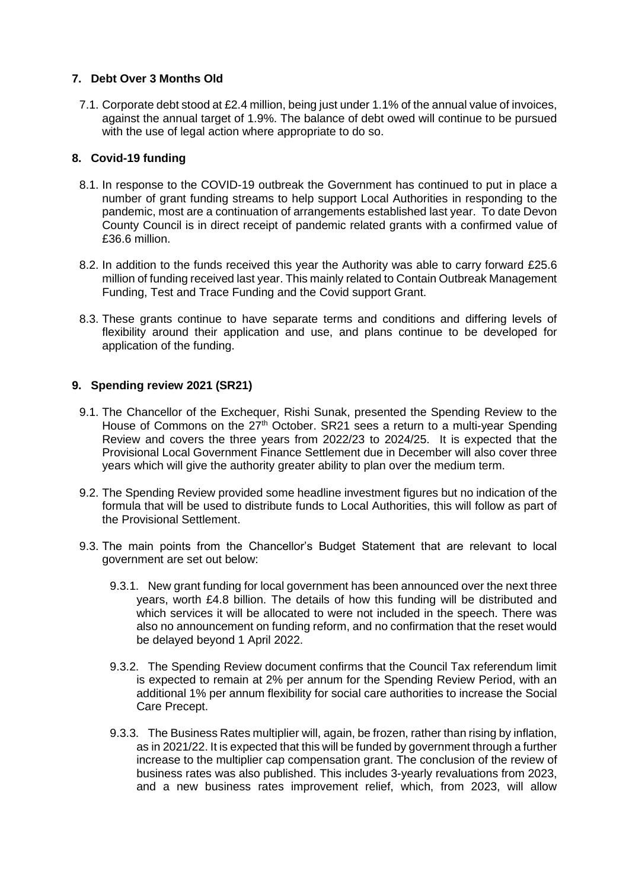# **7. Debt Over 3 Months Old**

7.1. Corporate debt stood at £2.4 million, being just under 1.1% of the annual value of invoices, against the annual target of 1.9%. The balance of debt owed will continue to be pursued with the use of legal action where appropriate to do so.

# **8. Covid-19 funding**

- 8.1. In response to the COVID-19 outbreak the Government has continued to put in place a number of grant funding streams to help support Local Authorities in responding to the pandemic, most are a continuation of arrangements established last year. To date Devon County Council is in direct receipt of pandemic related grants with a confirmed value of £36.6 million.
- 8.2. In addition to the funds received this year the Authority was able to carry forward £25.6 million of funding received last year. This mainly related to Contain Outbreak Management Funding, Test and Trace Funding and the Covid support Grant.
- 8.3. These grants continue to have separate terms and conditions and differing levels of flexibility around their application and use, and plans continue to be developed for application of the funding.

# **9. Spending review 2021 (SR21)**

- 9.1. The Chancellor of the Exchequer, Rishi Sunak, presented the Spending Review to the House of Commons on the 27<sup>th</sup> October. SR21 sees a return to a multi-year Spending Review and covers the three years from 2022/23 to 2024/25. It is expected that the Provisional Local Government Finance Settlement due in December will also cover three years which will give the authority greater ability to plan over the medium term.
- 9.2. The Spending Review provided some headline investment figures but no indication of the formula that will be used to distribute funds to Local Authorities, this will follow as part of the Provisional Settlement.
- 9.3. The main points from the Chancellor's Budget Statement that are relevant to local government are set out below:
	- 9.3.1. New grant funding for local government has been announced over the next three years, worth £4.8 billion. The details of how this funding will be distributed and which services it will be allocated to were not included in the speech. There was also no announcement on funding reform, and no confirmation that the reset would be delayed beyond 1 April 2022.
	- 9.3.2. The Spending Review document confirms that the Council Tax referendum limit is expected to remain at 2% per annum for the Spending Review Period, with an additional 1% per annum flexibility for social care authorities to increase the Social Care Precept.
	- 9.3.3. The Business Rates multiplier will, again, be frozen, rather than rising by inflation, as in 2021/22. It is expected that this will be funded by government through a further increase to the multiplier cap compensation grant. The conclusion of the review of business rates was also published. This includes 3-yearly revaluations from 2023, and a new business rates improvement relief, which, from 2023, will allow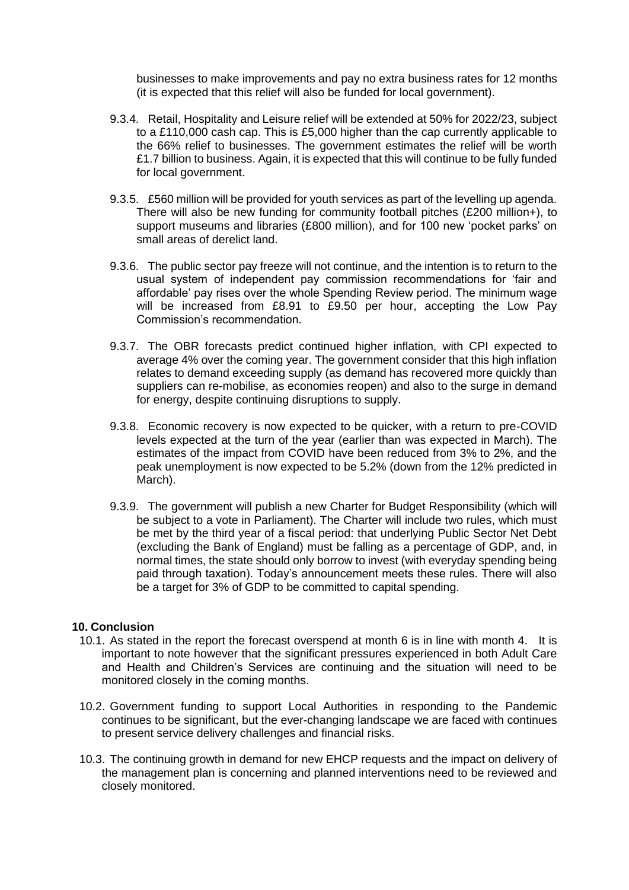businesses to make improvements and pay no extra business rates for 12 months (it is expected that this relief will also be funded for local government).

- 9.3.4. Retail, Hospitality and Leisure relief will be extended at 50% for 2022/23, subject to a £110,000 cash cap. This is £5,000 higher than the cap currently applicable to the 66% relief to businesses. The government estimates the relief will be worth £1.7 billion to business. Again, it is expected that this will continue to be fully funded for local government.
- 9.3.5. £560 million will be provided for youth services as part of the levelling up agenda. There will also be new funding for community football pitches (£200 million+), to support museums and libraries (£800 million), and for 100 new 'pocket parks' on small areas of derelict land.
- 9.3.6. The public sector pay freeze will not continue, and the intention is to return to the usual system of independent pay commission recommendations for 'fair and affordable' pay rises over the whole Spending Review period. The minimum wage will be increased from £8.91 to £9.50 per hour, accepting the Low Pay Commission's recommendation.
- 9.3.7. The OBR forecasts predict continued higher inflation, with CPI expected to average 4% over the coming year. The government consider that this high inflation relates to demand exceeding supply (as demand has recovered more quickly than suppliers can re-mobilise, as economies reopen) and also to the surge in demand for energy, despite continuing disruptions to supply.
- 9.3.8. Economic recovery is now expected to be quicker, with a return to pre-COVID levels expected at the turn of the year (earlier than was expected in March). The estimates of the impact from COVID have been reduced from 3% to 2%, and the peak unemployment is now expected to be 5.2% (down from the 12% predicted in March).
- 9.3.9. The government will publish a new Charter for Budget Responsibility (which will be subject to a vote in Parliament). The Charter will include two rules, which must be met by the third year of a fiscal period: that underlying Public Sector Net Debt (excluding the Bank of England) must be falling as a percentage of GDP, and, in normal times, the state should only borrow to invest (with everyday spending being paid through taxation). Today's announcement meets these rules. There will also be a target for 3% of GDP to be committed to capital spending.

#### **10. Conclusion**

- 10.1. As stated in the report the forecast overspend at month 6 is in line with month 4. It is important to note however that the significant pressures experienced in both Adult Care and Health and Children's Services are continuing and the situation will need to be monitored closely in the coming months.
- 10.2. Government funding to support Local Authorities in responding to the Pandemic continues to be significant, but the ever-changing landscape we are faced with continues to present service delivery challenges and financial risks.
- 10.3. The continuing growth in demand for new EHCP requests and the impact on delivery of the management plan is concerning and planned interventions need to be reviewed and closely monitored.